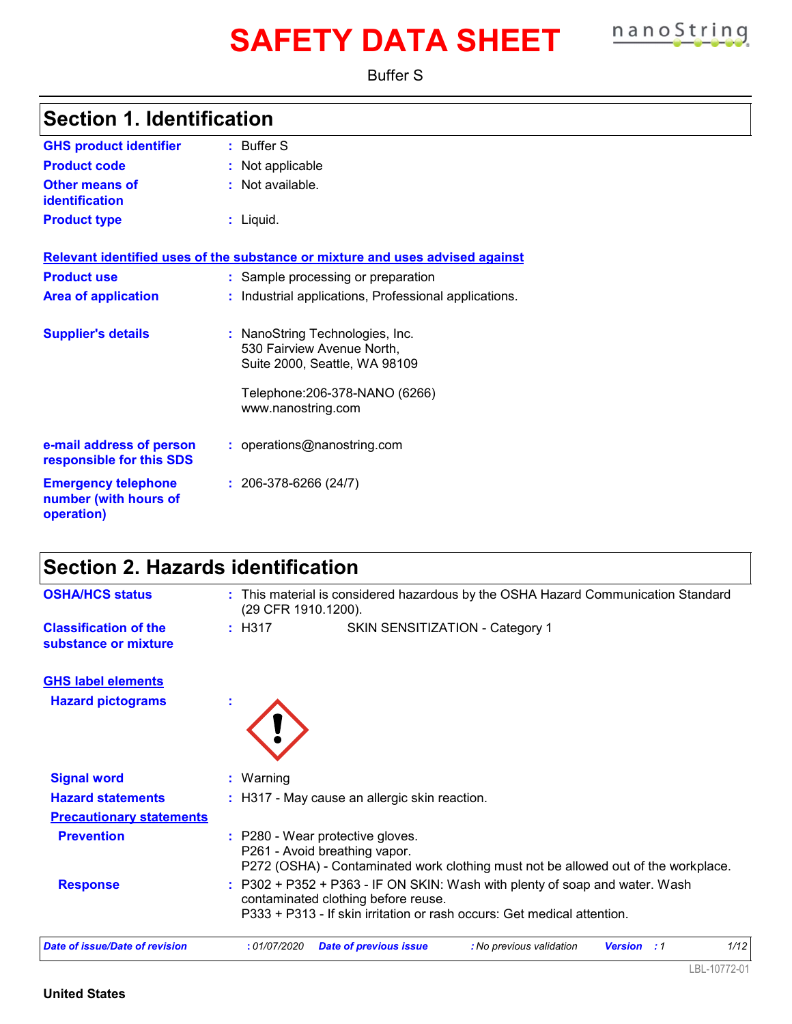# **SAFETY DATA SHEET nanoString**

Buffer S

| <b>Section 1. Identification</b>                                  |                                                                                                          |
|-------------------------------------------------------------------|----------------------------------------------------------------------------------------------------------|
| <b>GHS product identifier</b>                                     | : Buffer S                                                                                               |
| <b>Product code</b>                                               | : Not applicable                                                                                         |
| Other means of<br><b>identification</b>                           | : Not available.                                                                                         |
| <b>Product type</b>                                               | $:$ Liquid.                                                                                              |
|                                                                   | Relevant identified uses of the substance or mixture and uses advised against                            |
| <b>Product use</b>                                                | : Sample processing or preparation                                                                       |
| <b>Area of application</b>                                        | : Industrial applications, Professional applications.                                                    |
| <b>Supplier's details</b>                                         | : NanoString Technologies, Inc.<br>530 Fairview Avenue North,<br>Suite 2000, Seattle, WA 98109           |
|                                                                   | Telephone: 206-378-NANO (6266)<br>www.nanostring.com                                                     |
| e-mail address of person<br>responsible for this SDS              | : operations@nanostring.com                                                                              |
| <b>Emergency telephone</b><br>number (with hours of<br>operation) | $: 206-378-6266(24/7)$                                                                                   |
| <b>Section 2. Hazards identification</b>                          |                                                                                                          |
| <b>OSHA/HCS status</b>                                            | : This material is considered hazardous by the OSHA Hazard Communication Standard<br>(29 CFR 1910.1200). |
| <b>Classification of the</b><br>substance or mixture              | : H317<br>SKIN SENSITIZATION - Category 1                                                                |
| <b>GHS label elements</b>                                         |                                                                                                          |
| <b>Hazard pictograms</b>                                          |                                                                                                          |
|                                                                   |                                                                                                          |
|                                                                   |                                                                                                          |

| <b>Hazard statements</b><br><b>Precautionary statements</b> | : H317 - May cause an allergic skin reaction.                                                                                                                                                   |
|-------------------------------------------------------------|-------------------------------------------------------------------------------------------------------------------------------------------------------------------------------------------------|
| <b>Prevention</b>                                           | : P280 - Wear protective gloves.<br>P261 - Avoid breathing vapor.<br>P272 (OSHA) - Contaminated work clothing must not be allowed out of the workplace.                                         |
| <b>Response</b>                                             | $: P302 + P352 + P363 - IF ON SKIN: Wash with plenty of soap and water. Wash$<br>contaminated clothing before reuse.<br>P333 + P313 - If skin irritation or rash occurs: Get medical attention. |
| Date of issue/Date of revision                              | 1/12<br><b>Date of previous issue</b><br>: No previous validation<br>:01/07/2020<br><b>Version</b><br>$\cdot$ : $\cdot$                                                                         |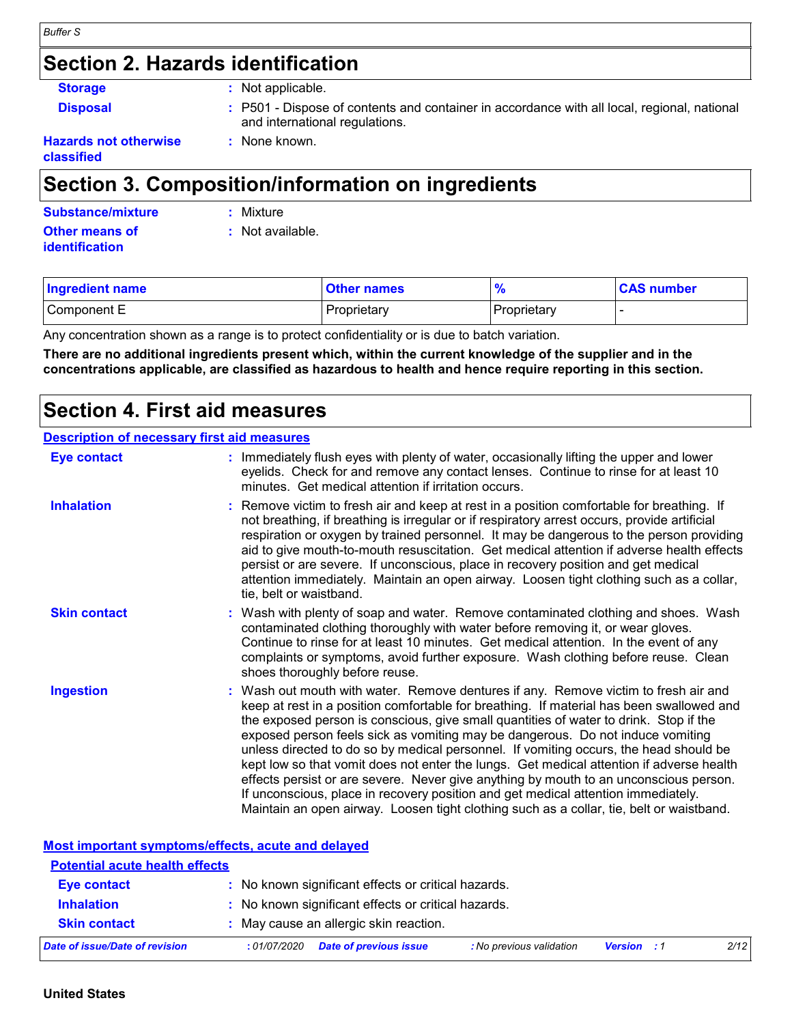### **Section 2. Hazards identification**

**Storage :** Not applicable.

**:** None known.

**Disposal <b>EXECUCE**: P501 - Dispose of contents and container in accordance with all local, regional, national and international regulations.

#### **Hazards not otherwise classified**

### **Section 3. Composition/information on ingredients**

| Substance/mixture     | : Mixture        |
|-----------------------|------------------|
| Other means of        | : Not available. |
| <b>identification</b> |                  |

| <b>Ingredient name</b> | <b>Other names</b> |             | <b>CAS number</b> |
|------------------------|--------------------|-------------|-------------------|
| Component E            | Proprietary        | Proprietary |                   |

Any concentration shown as a range is to protect confidentiality or is due to batch variation.

**There are no additional ingredients present which, within the current knowledge of the supplier and in the concentrations applicable, are classified as hazardous to health and hence require reporting in this section.**

### **Section 4. First aid measures**

#### **Description of necessary first aid measures**

| <b>Eye contact</b>  | : Immediately flush eyes with plenty of water, occasionally lifting the upper and lower<br>eyelids. Check for and remove any contact lenses. Continue to rinse for at least 10<br>minutes. Get medical attention if irritation occurs.                                                                                                                                                                                                                                                                                                                                                                                                                                                                                                                                                                                    |
|---------------------|---------------------------------------------------------------------------------------------------------------------------------------------------------------------------------------------------------------------------------------------------------------------------------------------------------------------------------------------------------------------------------------------------------------------------------------------------------------------------------------------------------------------------------------------------------------------------------------------------------------------------------------------------------------------------------------------------------------------------------------------------------------------------------------------------------------------------|
| <b>Inhalation</b>   | : Remove victim to fresh air and keep at rest in a position comfortable for breathing. If<br>not breathing, if breathing is irregular or if respiratory arrest occurs, provide artificial<br>respiration or oxygen by trained personnel. It may be dangerous to the person providing<br>aid to give mouth-to-mouth resuscitation. Get medical attention if adverse health effects<br>persist or are severe. If unconscious, place in recovery position and get medical<br>attention immediately. Maintain an open airway. Loosen tight clothing such as a collar,<br>tie, belt or waistband.                                                                                                                                                                                                                              |
| <b>Skin contact</b> | : Wash with plenty of soap and water. Remove contaminated clothing and shoes. Wash<br>contaminated clothing thoroughly with water before removing it, or wear gloves.<br>Continue to rinse for at least 10 minutes. Get medical attention. In the event of any<br>complaints or symptoms, avoid further exposure. Wash clothing before reuse. Clean<br>shoes thoroughly before reuse.                                                                                                                                                                                                                                                                                                                                                                                                                                     |
| <b>Ingestion</b>    | : Wash out mouth with water. Remove dentures if any. Remove victim to fresh air and<br>keep at rest in a position comfortable for breathing. If material has been swallowed and<br>the exposed person is conscious, give small quantities of water to drink. Stop if the<br>exposed person feels sick as vomiting may be dangerous. Do not induce vomiting<br>unless directed to do so by medical personnel. If vomiting occurs, the head should be<br>kept low so that vomit does not enter the lungs. Get medical attention if adverse health<br>effects persist or are severe. Never give anything by mouth to an unconscious person.<br>If unconscious, place in recovery position and get medical attention immediately.<br>Maintain an open airway. Loosen tight clothing such as a collar, tie, belt or waistband. |

**Most important symptoms/effects, acute and delayed**

| <b>Potential acute health effects</b> |                                                                           |                    |      |
|---------------------------------------|---------------------------------------------------------------------------|--------------------|------|
| <b>Eye contact</b>                    | : No known significant effects or critical hazards.                       |                    |      |
| <b>Inhalation</b>                     | : No known significant effects or critical hazards.                       |                    |      |
| <b>Skin contact</b>                   | : May cause an allergic skin reaction.                                    |                    |      |
| Date of issue/Date of revision        | <b>Date of previous issue</b><br>: No previous validation<br>: 01/07/2020 | <b>Version</b> : 1 | 2/12 |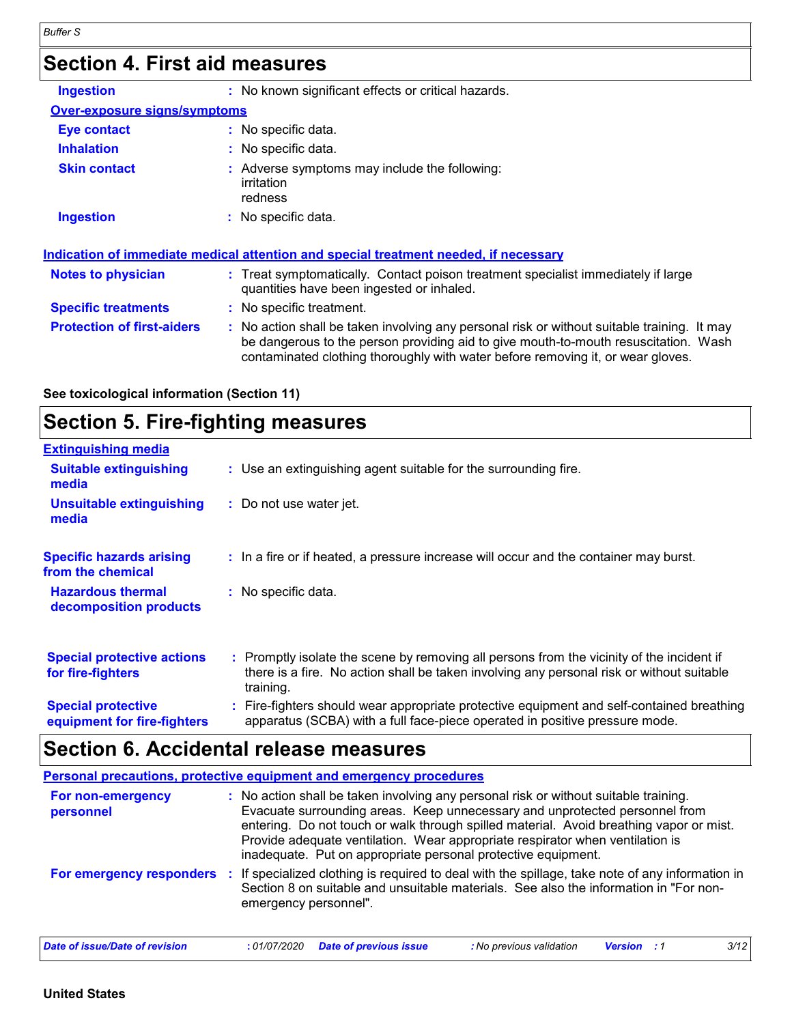### **Section 4. First aid measures**

| <b>Ingestion</b>                    | : No known significant effects or critical hazards.                                                                                                                                                                                                                   |
|-------------------------------------|-----------------------------------------------------------------------------------------------------------------------------------------------------------------------------------------------------------------------------------------------------------------------|
| <b>Over-exposure signs/symptoms</b> |                                                                                                                                                                                                                                                                       |
| <b>Eye contact</b>                  | $:$ No specific data.                                                                                                                                                                                                                                                 |
| <b>Inhalation</b>                   | No specific data.                                                                                                                                                                                                                                                     |
| <b>Skin contact</b>                 | Adverse symptoms may include the following:<br>irritation<br>redness                                                                                                                                                                                                  |
| <b>Ingestion</b>                    | : No specific data.                                                                                                                                                                                                                                                   |
|                                     | Indication of immediate medical attention and special treatment needed, if necessary                                                                                                                                                                                  |
| <b>Notes to physician</b>           | : Treat symptomatically. Contact poison treatment specialist immediately if large<br>quantities have been ingested or inhaled.                                                                                                                                        |
| <b>Specific treatments</b>          | No specific treatment.                                                                                                                                                                                                                                                |
| <b>Protection of first-aiders</b>   | : No action shall be taken involving any personal risk or without suitable training. It may<br>be dangerous to the person providing aid to give mouth-to-mouth resuscitation. Wash<br>contaminated clothing thoroughly with water before removing it, or wear gloves. |

#### **See toxicological information (Section 11)**

### **Section 5. Fire-fighting measures**

| <b>Extinguishing media</b>                               |                                                                                                                                                                                                     |
|----------------------------------------------------------|-----------------------------------------------------------------------------------------------------------------------------------------------------------------------------------------------------|
| <b>Suitable extinguishing</b><br>media                   | : Use an extinguishing agent suitable for the surrounding fire.                                                                                                                                     |
| <b>Unsuitable extinguishing</b><br>media                 | : Do not use water jet.                                                                                                                                                                             |
| <b>Specific hazards arising</b><br>from the chemical     | : In a fire or if heated, a pressure increase will occur and the container may burst.                                                                                                               |
| <b>Hazardous thermal</b><br>decomposition products       | : No specific data.                                                                                                                                                                                 |
| <b>Special protective actions</b><br>for fire-fighters   | : Promptly isolate the scene by removing all persons from the vicinity of the incident if<br>there is a fire. No action shall be taken involving any personal risk or without suitable<br>training. |
| <b>Special protective</b><br>equipment for fire-fighters | : Fire-fighters should wear appropriate protective equipment and self-contained breathing<br>apparatus (SCBA) with a full face-piece operated in positive pressure mode.                            |

### **Section 6. Accidental release measures**

|                                | Personal precautions, protective equipment and emergency procedures                                                                                                                                                                                                                                                                                                                                              |
|--------------------------------|------------------------------------------------------------------------------------------------------------------------------------------------------------------------------------------------------------------------------------------------------------------------------------------------------------------------------------------------------------------------------------------------------------------|
| For non-emergency<br>personnel | : No action shall be taken involving any personal risk or without suitable training.<br>Evacuate surrounding areas. Keep unnecessary and unprotected personnel from<br>entering. Do not touch or walk through spilled material. Avoid breathing vapor or mist.<br>Provide adequate ventilation. Wear appropriate respirator when ventilation is<br>inadequate. Put on appropriate personal protective equipment. |
| For emergency responders       | If specialized clothing is required to deal with the spillage, take note of any information in<br>-11<br>Section 8 on suitable and unsuitable materials. See also the information in "For non-<br>emergency personnel".                                                                                                                                                                                          |
| Date of issue/Date of revision | 3/12<br><b>Date of previous issue</b><br>: No previous validation<br>:01/07/2020<br><b>Version</b>                                                                                                                                                                                                                                                                                                               |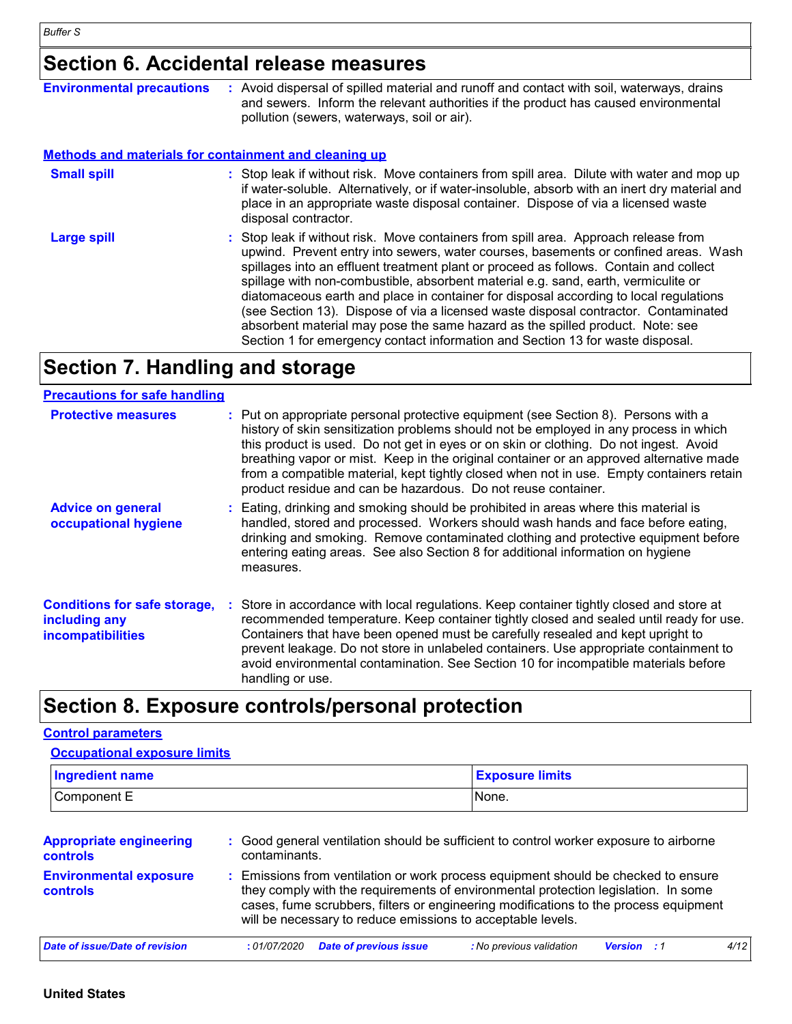### **Section 6. Accidental release measures**

| <b>Environmental precautions</b>                             | : Avoid dispersal of spilled material and runoff and contact with soil, waterways, drains<br>and sewers. Inform the relevant authorities if the product has caused environmental<br>pollution (sewers, waterways, soil or air).                                                                                                                                                                                                                                                                                                                                                                                                                                                                              |
|--------------------------------------------------------------|--------------------------------------------------------------------------------------------------------------------------------------------------------------------------------------------------------------------------------------------------------------------------------------------------------------------------------------------------------------------------------------------------------------------------------------------------------------------------------------------------------------------------------------------------------------------------------------------------------------------------------------------------------------------------------------------------------------|
| <b>Methods and materials for containment and cleaning up</b> |                                                                                                                                                                                                                                                                                                                                                                                                                                                                                                                                                                                                                                                                                                              |
| <b>Small spill</b>                                           | : Stop leak if without risk. Move containers from spill area. Dilute with water and mop up<br>if water-soluble. Alternatively, or if water-insoluble, absorb with an inert dry material and<br>place in an appropriate waste disposal container. Dispose of via a licensed waste<br>disposal contractor.                                                                                                                                                                                                                                                                                                                                                                                                     |
| <b>Large spill</b>                                           | : Stop leak if without risk. Move containers from spill area. Approach release from<br>upwind. Prevent entry into sewers, water courses, basements or confined areas. Wash<br>spillages into an effluent treatment plant or proceed as follows. Contain and collect<br>spillage with non-combustible, absorbent material e.g. sand, earth, vermiculite or<br>diatomaceous earth and place in container for disposal according to local regulations<br>(see Section 13). Dispose of via a licensed waste disposal contractor. Contaminated<br>absorbent material may pose the same hazard as the spilled product. Note: see<br>Section 1 for emergency contact information and Section 13 for waste disposal. |

### **Section 7. Handling and storage**

### **Precautions for safe handling**

| <b>Protective measures</b>                                                       | : Put on appropriate personal protective equipment (see Section 8). Persons with a<br>history of skin sensitization problems should not be employed in any process in which<br>this product is used. Do not get in eyes or on skin or clothing. Do not ingest. Avoid<br>breathing vapor or mist. Keep in the original container or an approved alternative made<br>from a compatible material, kept tightly closed when not in use. Empty containers retain<br>product residue and can be hazardous. Do not reuse container. |
|----------------------------------------------------------------------------------|------------------------------------------------------------------------------------------------------------------------------------------------------------------------------------------------------------------------------------------------------------------------------------------------------------------------------------------------------------------------------------------------------------------------------------------------------------------------------------------------------------------------------|
| <b>Advice on general</b><br>occupational hygiene                                 | : Eating, drinking and smoking should be prohibited in areas where this material is<br>handled, stored and processed. Workers should wash hands and face before eating,<br>drinking and smoking. Remove contaminated clothing and protective equipment before<br>entering eating areas. See also Section 8 for additional information on hygiene<br>measures.                                                                                                                                                                |
| <b>Conditions for safe storage,</b><br>including any<br><b>incompatibilities</b> | : Store in accordance with local regulations. Keep container tightly closed and store at<br>recommended temperature. Keep container tightly closed and sealed until ready for use.<br>Containers that have been opened must be carefully resealed and kept upright to<br>prevent leakage. Do not store in unlabeled containers. Use appropriate containment to<br>avoid environmental contamination. See Section 10 for incompatible materials before<br>handling or use.                                                    |

### **Section 8. Exposure controls/personal protection**

#### **Control parameters**

| <b>Ingredient name</b>                     |                                                                                                                                                                                                                                                                                                                                 |                               | <b>Exposure limits</b>                                                                 |                    |      |
|--------------------------------------------|---------------------------------------------------------------------------------------------------------------------------------------------------------------------------------------------------------------------------------------------------------------------------------------------------------------------------------|-------------------------------|----------------------------------------------------------------------------------------|--------------------|------|
| Component E                                |                                                                                                                                                                                                                                                                                                                                 | None.                         |                                                                                        |                    |      |
| <b>Appropriate engineering</b><br>controls | contaminants.                                                                                                                                                                                                                                                                                                                   |                               | : Good general ventilation should be sufficient to control worker exposure to airborne |                    |      |
| <b>Environmental exposure</b><br>controls  | : Emissions from ventilation or work process equipment should be checked to ensure<br>they comply with the requirements of environmental protection legislation. In some<br>cases, fume scrubbers, filters or engineering modifications to the process equipment<br>will be necessary to reduce emissions to acceptable levels. |                               |                                                                                        |                    |      |
| Date of issue/Date of revision             | :01/07/2020                                                                                                                                                                                                                                                                                                                     | <b>Date of previous issue</b> | : No previous validation                                                               | <b>Version</b> : 1 | 4/12 |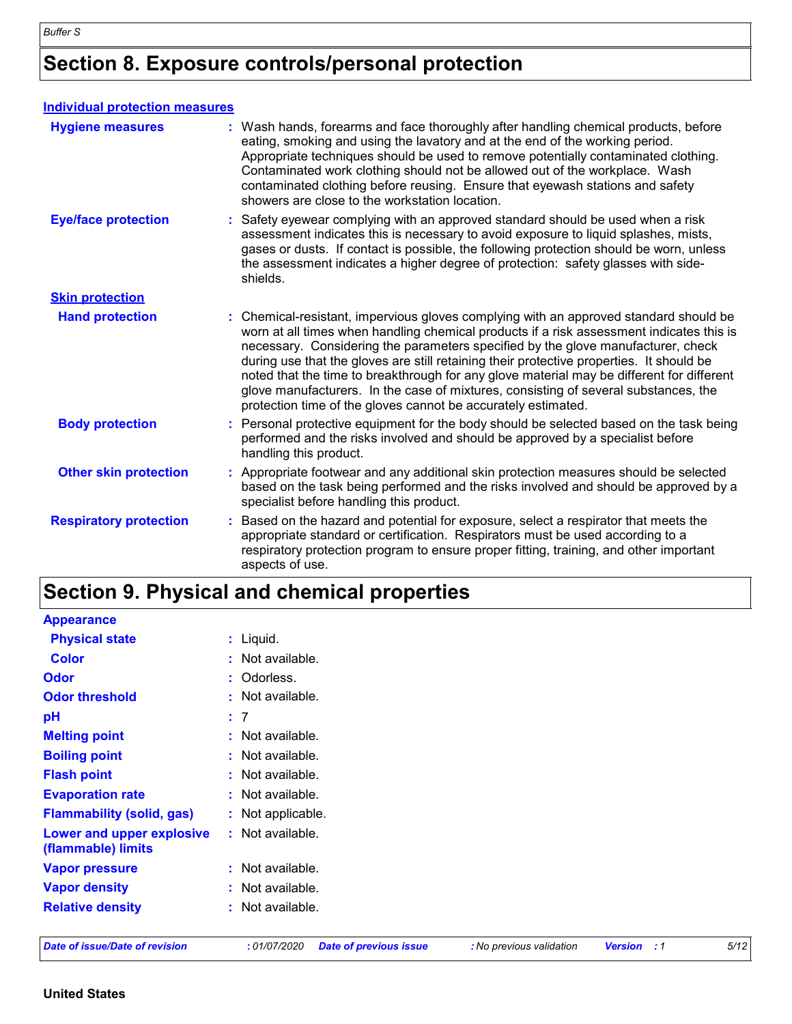### **Section 8. Exposure controls/personal protection**

| <b>Individual protection measures</b> |                                                                                                                                                                                                                                                                                                                                                                                                                                                                                                                                                                                                                        |  |
|---------------------------------------|------------------------------------------------------------------------------------------------------------------------------------------------------------------------------------------------------------------------------------------------------------------------------------------------------------------------------------------------------------------------------------------------------------------------------------------------------------------------------------------------------------------------------------------------------------------------------------------------------------------------|--|
| <b>Hygiene measures</b>               | : Wash hands, forearms and face thoroughly after handling chemical products, before<br>eating, smoking and using the lavatory and at the end of the working period.<br>Appropriate techniques should be used to remove potentially contaminated clothing.<br>Contaminated work clothing should not be allowed out of the workplace. Wash<br>contaminated clothing before reusing. Ensure that eyewash stations and safety<br>showers are close to the workstation location.                                                                                                                                            |  |
| <b>Eye/face protection</b>            | : Safety eyewear complying with an approved standard should be used when a risk<br>assessment indicates this is necessary to avoid exposure to liquid splashes, mists,<br>gases or dusts. If contact is possible, the following protection should be worn, unless<br>the assessment indicates a higher degree of protection: safety glasses with side-<br>shields.                                                                                                                                                                                                                                                     |  |
| <b>Skin protection</b>                |                                                                                                                                                                                                                                                                                                                                                                                                                                                                                                                                                                                                                        |  |
| <b>Hand protection</b>                | : Chemical-resistant, impervious gloves complying with an approved standard should be<br>worn at all times when handling chemical products if a risk assessment indicates this is<br>necessary. Considering the parameters specified by the glove manufacturer, check<br>during use that the gloves are still retaining their protective properties. It should be<br>noted that the time to breakthrough for any glove material may be different for different<br>glove manufacturers. In the case of mixtures, consisting of several substances, the<br>protection time of the gloves cannot be accurately estimated. |  |
| <b>Body protection</b>                | : Personal protective equipment for the body should be selected based on the task being<br>performed and the risks involved and should be approved by a specialist before<br>handling this product.                                                                                                                                                                                                                                                                                                                                                                                                                    |  |
| <b>Other skin protection</b>          | : Appropriate footwear and any additional skin protection measures should be selected<br>based on the task being performed and the risks involved and should be approved by a<br>specialist before handling this product.                                                                                                                                                                                                                                                                                                                                                                                              |  |
| <b>Respiratory protection</b>         | Based on the hazard and potential for exposure, select a respirator that meets the<br>appropriate standard or certification. Respirators must be used according to a<br>respiratory protection program to ensure proper fitting, training, and other important<br>aspects of use.                                                                                                                                                                                                                                                                                                                                      |  |

### **Section 9. Physical and chemical properties**

| <b>Date of issue/Date of revision</b>           | : 01/07/2020<br><b>Date of previous issue</b> | 5/12<br>: No previous validation<br><b>Version</b><br>:1 |
|-------------------------------------------------|-----------------------------------------------|----------------------------------------------------------|
| <b>Relative density</b>                         | : Not available.                              |                                                          |
| <b>Vapor density</b>                            | : Not available.                              |                                                          |
| <b>Vapor pressure</b>                           | : Not available.                              |                                                          |
| Lower and upper explosive<br>(flammable) limits | : Not available.                              |                                                          |
| <b>Flammability (solid, gas)</b>                | : Not applicable.                             |                                                          |
| <b>Evaporation rate</b>                         | : Not available.                              |                                                          |
| <b>Flash point</b>                              | : Not available.                              |                                                          |
| <b>Boiling point</b>                            | : Not available.                              |                                                          |
| <b>Melting point</b>                            | : Not available.                              |                                                          |
| pH                                              | : 7                                           |                                                          |
| <b>Odor threshold</b>                           | : Not available.                              |                                                          |
| <b>Odor</b>                                     | : Odorless.                                   |                                                          |
| <b>Color</b>                                    | : Not available.                              |                                                          |
| <b>Physical state</b>                           | $:$ Liquid.                                   |                                                          |
| <b>Appearance</b>                               |                                               |                                                          |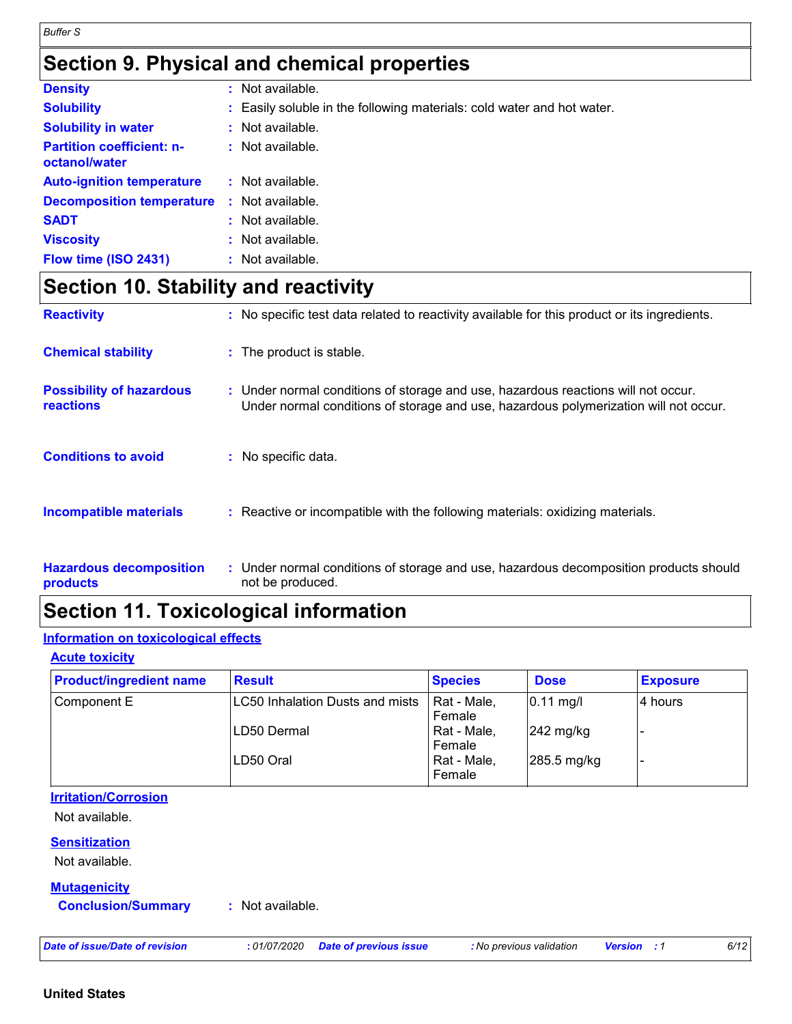### **Section 9. Physical and chemical properties**

| <b>Density</b>                                    | t. | Not available.                                                         |
|---------------------------------------------------|----|------------------------------------------------------------------------|
| <b>Solubility</b>                                 |    | : Easily soluble in the following materials: cold water and hot water. |
| <b>Solubility in water</b>                        |    | : Not available.                                                       |
| <b>Partition coefficient: n-</b><br>octanol/water |    | $:$ Not available.                                                     |
| <b>Auto-ignition temperature</b>                  |    | $:$ Not available.                                                     |
| <b>Decomposition temperature</b>                  |    | : Not available.                                                       |
| <b>SADT</b>                                       |    | $:$ Not available.                                                     |
| <b>Viscosity</b>                                  |    | : Not available.                                                       |
| Flow time (ISO 2431)                              |    | : Not available.                                                       |

### **Section 10. Stability and reactivity**

| <b>Reactivity</b>                                 | : No specific test data related to reactivity available for this product or its ingredients.                                                                              |
|---------------------------------------------------|---------------------------------------------------------------------------------------------------------------------------------------------------------------------------|
| <b>Chemical stability</b>                         | : The product is stable.                                                                                                                                                  |
| <b>Possibility of hazardous</b><br>reactions      | : Under normal conditions of storage and use, hazardous reactions will not occur.<br>Under normal conditions of storage and use, hazardous polymerization will not occur. |
| <b>Conditions to avoid</b>                        | : No specific data.                                                                                                                                                       |
| <b>Incompatible materials</b>                     | : Reactive or incompatible with the following materials: oxidizing materials.                                                                                             |
| <b>Hazardous decomposition</b><br><b>products</b> | : Under normal conditions of storage and use, hazardous decomposition products should<br>not be produced.                                                                 |

### **Section 11. Toxicological information**

#### **Information on toxicological effects**

**Acute toxicity**

| <b>Product/ingredient name</b> | <b>Result</b>                          | <b>Species</b> | <b>Dose</b>           | <b>Exposure</b> |
|--------------------------------|----------------------------------------|----------------|-----------------------|-----------------|
| Component E                    | <b>LC50 Inhalation Dusts and mists</b> | Rat - Male,    | $0.11$ mg/l           | l4 hours        |
|                                |                                        | Female         |                       |                 |
|                                | <b>ILD50 Dermal</b>                    | Rat - Male,    | $ 242 \text{ mg/kg} $ |                 |
|                                |                                        | Female         |                       |                 |
|                                | LD50 Oral                              | Rat - Male,    | 285.5 mg/kg           |                 |
|                                |                                        | Female         |                       |                 |

#### **Irritation/Corrosion**

Not available.

#### **Sensitization**

Not available.

#### **Mutagenicity**

**Conclusion/Summary :** Not available.

*Date of issue/Date of revision* **:** *01/07/2020 Date of previous issue : No previous validation Version : 1 6/12*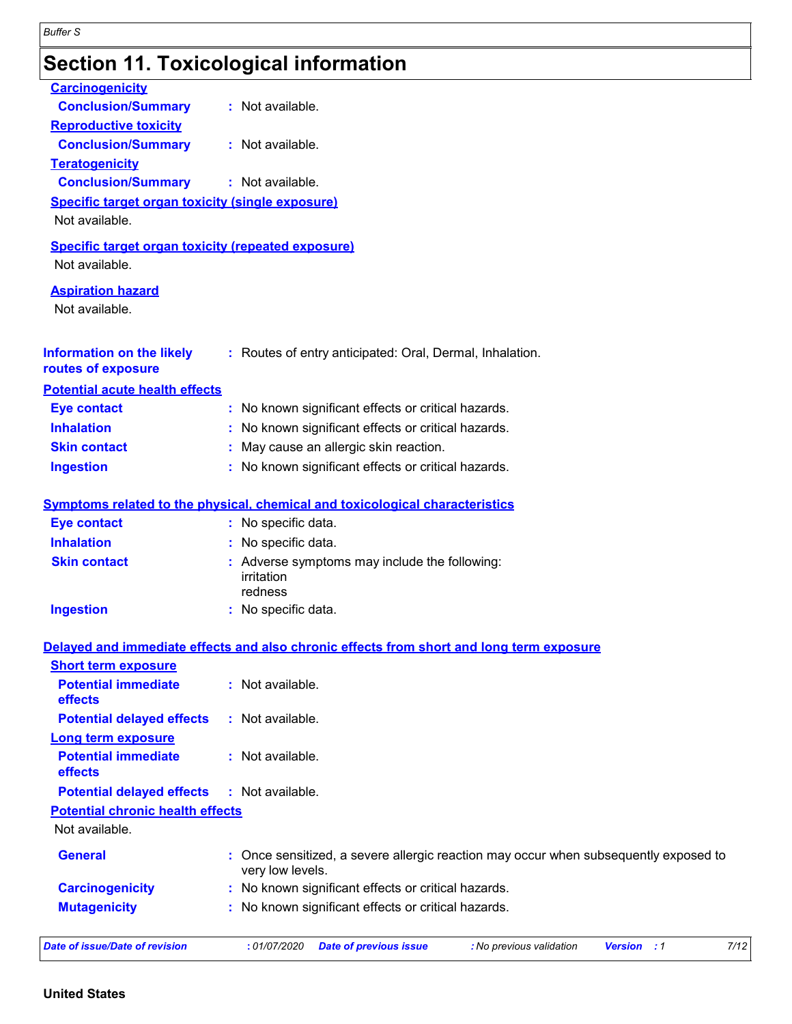## **Section 11. Toxicological information**

| <b>Carcinogenicity</b>                                                      |                                                                                                          |
|-----------------------------------------------------------------------------|----------------------------------------------------------------------------------------------------------|
| <b>Conclusion/Summary</b>                                                   | : Not available.                                                                                         |
| <b>Reproductive toxicity</b>                                                |                                                                                                          |
| <b>Conclusion/Summary</b>                                                   | : Not available.                                                                                         |
| <b>Teratogenicity</b>                                                       |                                                                                                          |
| <b>Conclusion/Summary</b>                                                   | : Not available.                                                                                         |
| <b>Specific target organ toxicity (single exposure)</b><br>Not available.   |                                                                                                          |
| <b>Specific target organ toxicity (repeated exposure)</b><br>Not available. |                                                                                                          |
| <b>Aspiration hazard</b><br>Not available.                                  |                                                                                                          |
| <b>Information on the likely</b><br>routes of exposure                      | : Routes of entry anticipated: Oral, Dermal, Inhalation.                                                 |
| <b>Potential acute health effects</b>                                       |                                                                                                          |
| <b>Eye contact</b>                                                          | : No known significant effects or critical hazards.                                                      |
| <b>Inhalation</b>                                                           | : No known significant effects or critical hazards.                                                      |
| <b>Skin contact</b>                                                         | : May cause an allergic skin reaction.                                                                   |
| <b>Ingestion</b>                                                            | : No known significant effects or critical hazards.                                                      |
|                                                                             | <b>Symptoms related to the physical, chemical and toxicological characteristics</b>                      |
| <b>Eye contact</b>                                                          | : No specific data.                                                                                      |
| <b>Inhalation</b>                                                           | : No specific data.                                                                                      |
| <b>Skin contact</b>                                                         | : Adverse symptoms may include the following:<br>irritation<br>redness                                   |
| <b>Ingestion</b>                                                            | : No specific data.                                                                                      |
|                                                                             | Delayed and immediate effects and also chronic effects from short and long term exposure                 |
| <b>Short term exposure</b>                                                  |                                                                                                          |
| <b>Potential immediate</b><br>effects                                       | : Not available.                                                                                         |
| <b>Potential delayed effects</b>                                            | : Not available.                                                                                         |
| Long term exposure                                                          |                                                                                                          |
| <b>Potential immediate</b><br>effects                                       | $:$ Not available.                                                                                       |
| <b>Potential delayed effects</b>                                            | : Not available.                                                                                         |
| <b>Potential chronic health effects</b>                                     |                                                                                                          |
| Not available.                                                              |                                                                                                          |
| <b>General</b>                                                              | : Once sensitized, a severe allergic reaction may occur when subsequently exposed to<br>very low levels. |
| <b>Carcinogenicity</b>                                                      | : No known significant effects or critical hazards.                                                      |
| <b>Mutagenicity</b>                                                         | : No known significant effects or critical hazards.                                                      |
| <b>Date of issue/Date of revision</b>                                       | 7/12<br>: 01/07/2020<br><b>Version</b> : 1                                                               |
|                                                                             | <b>Date of previous issue</b><br>: No previous validation                                                |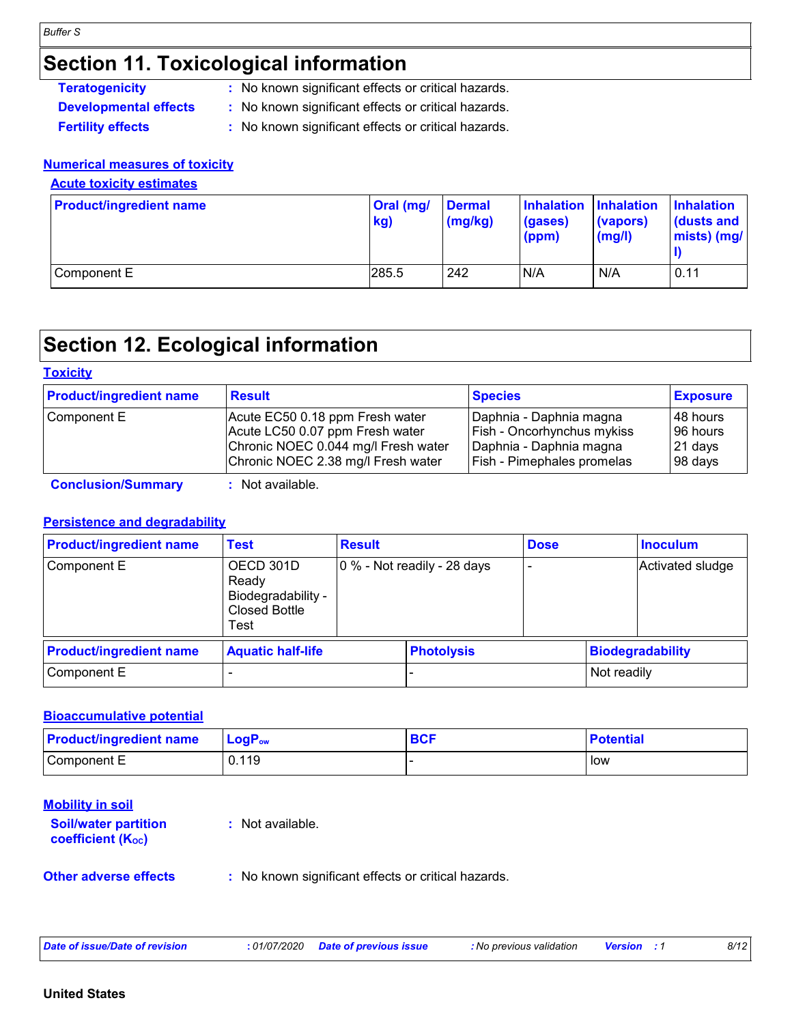### **Section 11. Toxicological information**

| : No known significant effects or critical hazards.<br><b>Teratogenicity</b> |  |
|------------------------------------------------------------------------------|--|
|------------------------------------------------------------------------------|--|

- **Developmental effects :** No known significant effects or critical hazards.
- **Fertility effects :** No known significant effects or critical hazards.

#### **Numerical measures of toxicity**

#### **Acute toxicity estimates**

| <b>Product/ingredient name</b> | Oral (mg/<br>kg) | <b>Dermal</b><br>$\frac{1}{2}$ (mg/kg) | Inhalation Inhalation<br>(gases)<br>(ppm) | (vapors)<br>(mg/l) | <b>Inhalation</b><br>$\vert$ (dusts and<br>$mists)$ (mg/ |
|--------------------------------|------------------|----------------------------------------|-------------------------------------------|--------------------|----------------------------------------------------------|
| Component E                    | 285.5            | 242                                    | N/A                                       | N/A                | 0.11                                                     |

### **Section 12. Ecological information**

#### **Toxicity**

| <b>Product/ingredient name</b> | <b>Result</b>                       | <b>Species</b>             | <b>Exposure</b> |
|--------------------------------|-------------------------------------|----------------------------|-----------------|
| Component E                    | Acute EC50 0.18 ppm Fresh water     | Daphnia - Daphnia magna    | 148 hours       |
|                                | Acute LC50 0.07 ppm Fresh water     | Fish - Oncorhynchus mykiss | 196 hours       |
|                                | Chronic NOEC 0.044 mg/l Fresh water | Daphnia - Daphnia magna    | 21 days         |
|                                | Chronic NOEC 2.38 mg/l Fresh water  | Fish - Pimephales promelas | 98 days         |

**Conclusion/Summary :** Not available.

#### **Persistence and degradability**

| <b>Product/ingredient name</b> | Test                                                                     | <b>Result</b>               |                   | <b>Dose</b> |                  | <b>Inoculum</b>         |
|--------------------------------|--------------------------------------------------------------------------|-----------------------------|-------------------|-------------|------------------|-------------------------|
| Component E                    | OECD 301D<br>Ready<br>Biodegradability -<br><b>Closed Bottle</b><br>Test | 0 % - Not readily - 28 days |                   |             | Activated sludge |                         |
| <b>Product/ingredient name</b> | <b>Aquatic half-life</b>                                                 |                             | <b>Photolysis</b> |             |                  | <b>Biodegradability</b> |
| Component E                    |                                                                          |                             |                   |             | Not readily      |                         |

#### **Bioaccumulative potential**

| <b>Product/ingredient name</b> | $LogP_{ow}$ | <b>BCF</b> | <b>Potential</b> |
|--------------------------------|-------------|------------|------------------|
| Component E                    | 0.119       |            | l low            |

| <b>Mobility in soil</b><br><b>Soil/water partition</b><br><b>coefficient (Koc)</b> | : Not available.                                    |
|------------------------------------------------------------------------------------|-----------------------------------------------------|
| <b>Other adverse effects</b>                                                       | : No known significant effects or critical hazards. |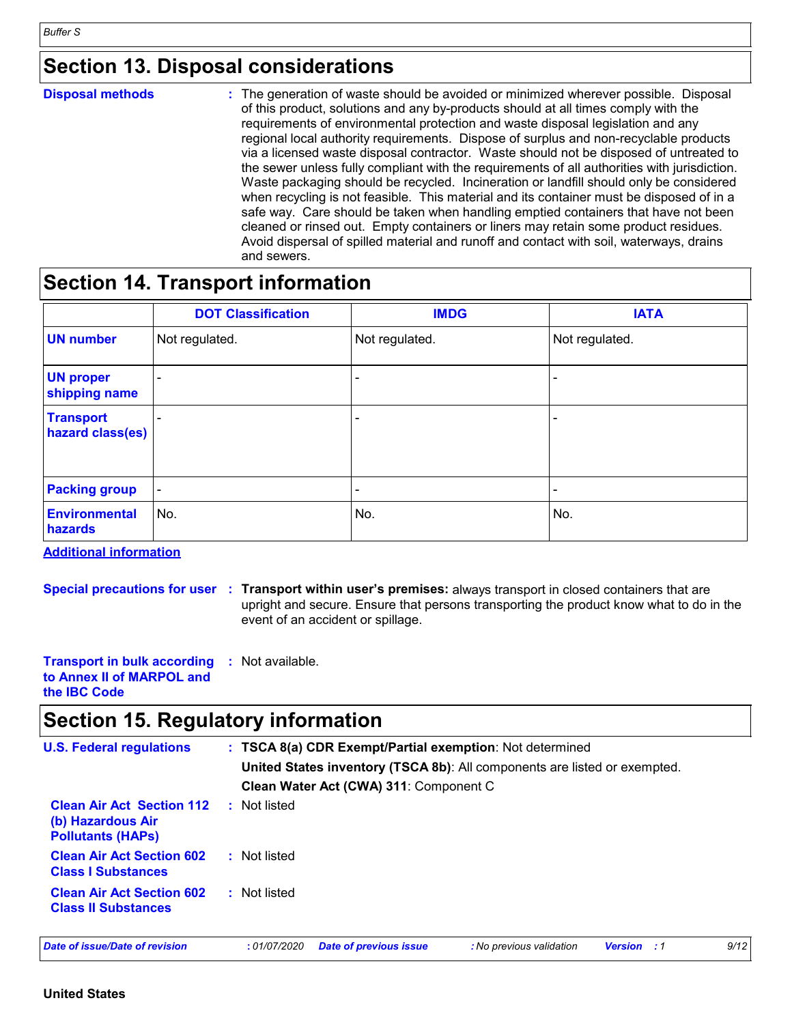### **Section 13. Disposal considerations**

| <b>Disposal methods</b> | : The generation of waste should be avoided or minimized wherever possible. Disposal<br>of this product, solutions and any by-products should at all times comply with the<br>requirements of environmental protection and waste disposal legislation and any<br>regional local authority requirements. Dispose of surplus and non-recyclable products<br>via a licensed waste disposal contractor. Waste should not be disposed of untreated to<br>the sewer unless fully compliant with the requirements of all authorities with jurisdiction.<br>Waste packaging should be recycled. Incineration or landfill should only be considered<br>when recycling is not feasible. This material and its container must be disposed of in a<br>safe way. Care should be taken when handling emptied containers that have not been<br>cleaned or rinsed out. Empty containers or liners may retain some product residues.<br>Avoid dispersal of spilled material and runoff and contact with soil, waterways, drains |
|-------------------------|----------------------------------------------------------------------------------------------------------------------------------------------------------------------------------------------------------------------------------------------------------------------------------------------------------------------------------------------------------------------------------------------------------------------------------------------------------------------------------------------------------------------------------------------------------------------------------------------------------------------------------------------------------------------------------------------------------------------------------------------------------------------------------------------------------------------------------------------------------------------------------------------------------------------------------------------------------------------------------------------------------------|
|                         | and sewers.                                                                                                                                                                                                                                                                                                                                                                                                                                                                                                                                                                                                                                                                                                                                                                                                                                                                                                                                                                                                    |

### **Section 14. Transport information**

|                                      | <b>DOT Classification</b> | <b>IMDG</b>              | <b>IATA</b>              |
|--------------------------------------|---------------------------|--------------------------|--------------------------|
| <b>UN number</b>                     | Not regulated.            | Not regulated.           | Not regulated.           |
| <b>UN proper</b><br>shipping name    | $\overline{\phantom{a}}$  | -                        |                          |
| <b>Transport</b><br>hazard class(es) | $\overline{\phantom{a}}$  | $\overline{\phantom{0}}$ | -                        |
| <b>Packing group</b>                 | $\overline{\phantom{a}}$  | $\overline{\phantom{0}}$ | $\overline{\phantom{a}}$ |
| <b>Environmental</b><br>hazards      | No.                       | No.                      | No.                      |

**Additional information**

**Special precautions for user Transport within user's premises:** always transport in closed containers that are **:** upright and secure. Ensure that persons transporting the product know what to do in the event of an accident or spillage.

**Transport in bulk according :** Not available. **to Annex II of MARPOL and the IBC Code**

### **Section 15. Regulatory information**

| <b>U.S. Federal regulations</b>                                                   | : TSCA 8(a) CDR Exempt/Partial exemption: Not determined<br>United States inventory (TSCA 8b): All components are listed or exempted.<br>Clean Water Act (CWA) 311: Component C |                               |                          |                    |  |      |
|-----------------------------------------------------------------------------------|---------------------------------------------------------------------------------------------------------------------------------------------------------------------------------|-------------------------------|--------------------------|--------------------|--|------|
| <b>Clean Air Act Section 112</b><br>(b) Hazardous Air<br><b>Pollutants (HAPS)</b> | : Not listed                                                                                                                                                                    |                               |                          |                    |  |      |
| <b>Clean Air Act Section 602</b><br><b>Class I Substances</b>                     | : Not listed                                                                                                                                                                    |                               |                          |                    |  |      |
| <b>Clean Air Act Section 602</b><br><b>Class II Substances</b>                    | : Not listed                                                                                                                                                                    |                               |                          |                    |  |      |
| Date of issue/Date of revision                                                    | : 01/07/2020                                                                                                                                                                    | <b>Date of previous issue</b> | : No previous validation | <b>Version</b> : 1 |  | 9/12 |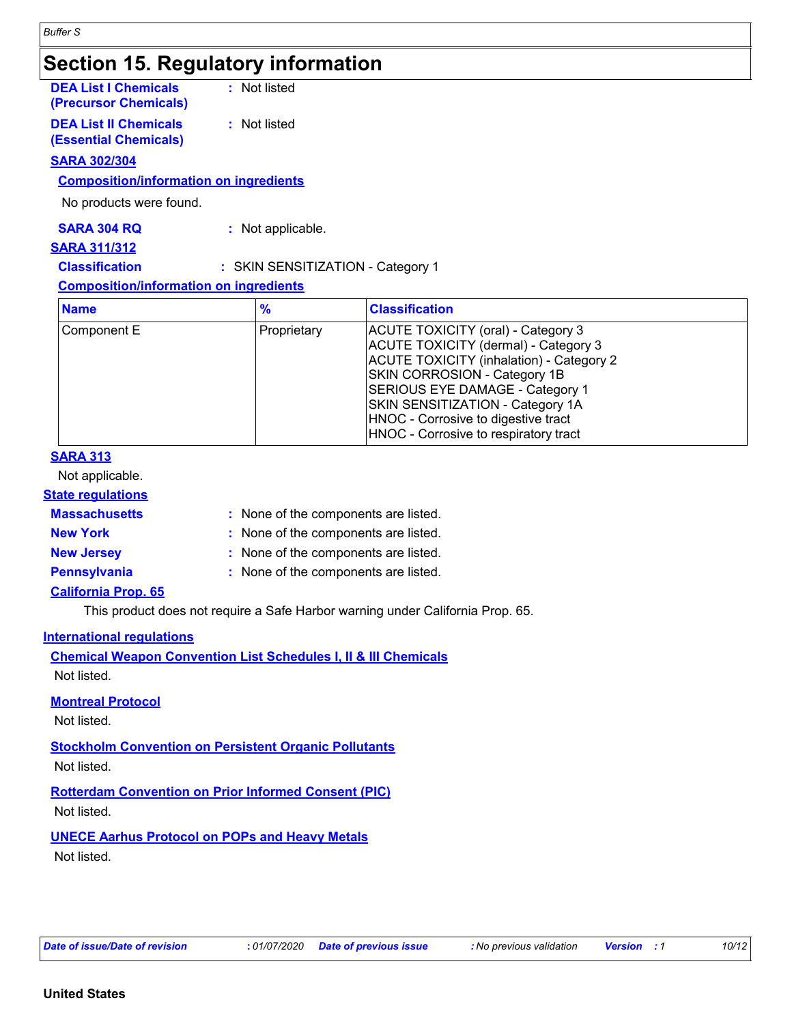### **Section 15. Regulatory information**

| <b>DEA List I Chemicals</b><br>(Precursor Chemicals) | : Not listed |
|------------------------------------------------------|--------------|
| <b>DEA List II Chemicals</b>                         | : Not listed |
| <b>(Essential Chemicals)</b>                         |              |

#### **SARA 302/304**

#### **Composition/information on ingredients**

No products were found.

**SARA 304 RQ :** Not applicable.

#### **SARA 311/312**

**Classification :** SKIN SENSITIZATION - Category 1

#### **Composition/information on ingredients**

| <b>Name</b> | $\frac{9}{6}$ | <b>Classification</b>                                                                                                                                                                                                                                                                                         |
|-------------|---------------|---------------------------------------------------------------------------------------------------------------------------------------------------------------------------------------------------------------------------------------------------------------------------------------------------------------|
| Component E | Proprietary   | ACUTE TOXICITY (oral) - Category 3<br>ACUTE TOXICITY (dermal) - Category 3<br>ACUTE TOXICITY (inhalation) - Category 2<br>SKIN CORROSION - Category 1B<br>SERIOUS EYE DAMAGE - Category 1<br>SKIN SENSITIZATION - Category 1A<br>HNOC - Corrosive to digestive tract<br>HNOC - Corrosive to respiratory tract |

#### **SARA 313**

Not applicable.

#### **State regulations**

| <b>Massachusetts</b> | : None of the components are listed. |
|----------------------|--------------------------------------|
| <b>New York</b>      | : None of the components are listed. |
| <b>New Jersey</b>    | : None of the components are listed. |
| <b>Pennsylvania</b>  | : None of the components are listed. |

#### **California Prop. 65**

This product does not require a Safe Harbor warning under California Prop. 65.

#### **International regulations**

**Chemical Weapon Convention List Schedules I, II & III Chemicals** Not listed.

#### **Montreal Protocol**

Not listed.

**Stockholm Convention on Persistent Organic Pollutants** Not listed.

**Rotterdam Convention on Prior Informed Consent (PIC)** Not listed.

**UNECE Aarhus Protocol on POPs and Heavy Metals** Not listed.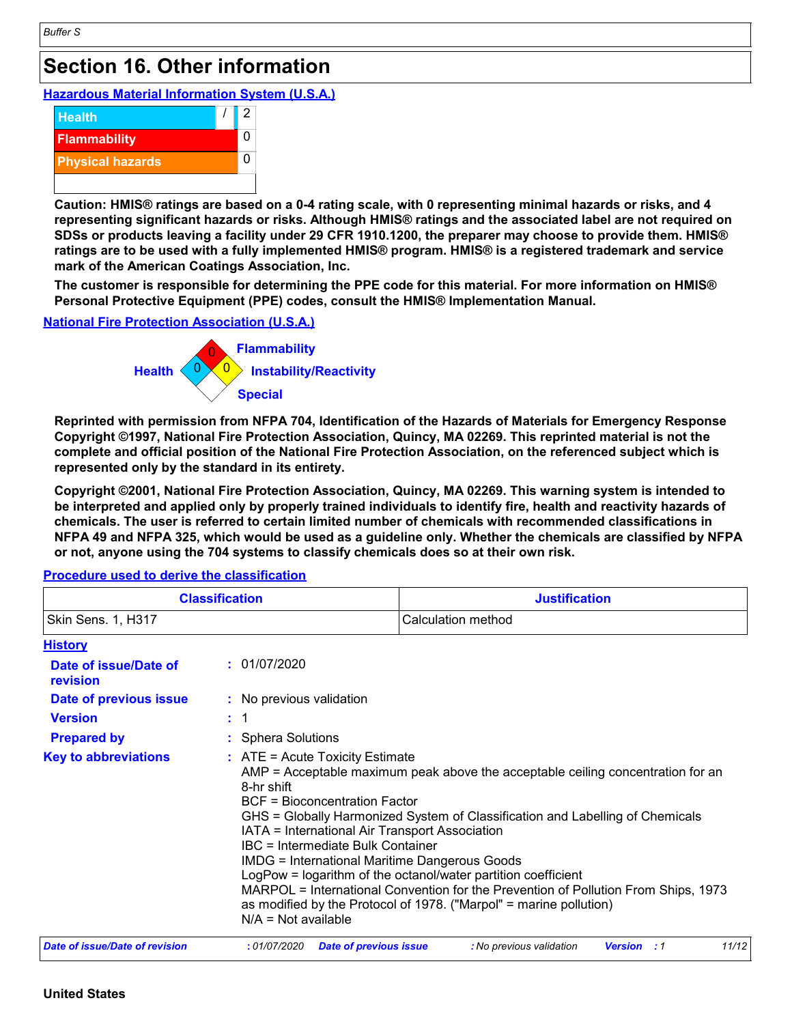### **Section 16. Other information**

**Hazardous Material Information System (U.S.A.)**



**Caution: HMIS® ratings are based on a 0-4 rating scale, with 0 representing minimal hazards or risks, and 4 representing significant hazards or risks. Although HMIS® ratings and the associated label are not required on SDSs or products leaving a facility under 29 CFR 1910.1200, the preparer may choose to provide them. HMIS® ratings are to be used with a fully implemented HMIS® program. HMIS® is a registered trademark and service mark of the American Coatings Association, Inc.**

**The customer is responsible for determining the PPE code for this material. For more information on HMIS® Personal Protective Equipment (PPE) codes, consult the HMIS® Implementation Manual.**

#### **National Fire Protection Association (U.S.A.)**



**Reprinted with permission from NFPA 704, Identification of the Hazards of Materials for Emergency Response Copyright ©1997, National Fire Protection Association, Quincy, MA 02269. This reprinted material is not the complete and official position of the National Fire Protection Association, on the referenced subject which is represented only by the standard in its entirety.**

**Copyright ©2001, National Fire Protection Association, Quincy, MA 02269. This warning system is intended to be interpreted and applied only by properly trained individuals to identify fire, health and reactivity hazards of chemicals. The user is referred to certain limited number of chemicals with recommended classifications in NFPA 49 and NFPA 325, which would be used as a guideline only. Whether the chemicals are classified by NFPA or not, anyone using the 704 systems to classify chemicals does so at their own risk.**

**History :** Sphera Solutions **Date of issue/Date of revision Version Prepared by Date of previous issue : :** 01/07/2020 **:** No previous validation **Key to abbreviations :** 1 **Classification Justification** Skin Sens. 1, H317 Calculation method  $\therefore$  ATE = Acute Toxicity Estimate AMP = Acceptable maximum peak above the acceptable ceiling concentration for an 8-hr shift BCF = Bioconcentration Factor GHS = Globally Harmonized System of Classification and Labelling of Chemicals IATA = International Air Transport Association IBC = Intermediate Bulk Container IMDG = International Maritime Dangerous Goods LogPow = logarithm of the octanol/water partition coefficient MARPOL = International Convention for the Prevention of Pollution From Ships, 1973 as modified by the Protocol of 1978. ("Marpol" = marine pollution) N/A = Not available *Date of issue/Date of revision* **:** *01/07/2020 Date of previous issue : No previous validation Version : 1 11/12*

**Procedure used to derive the classification**